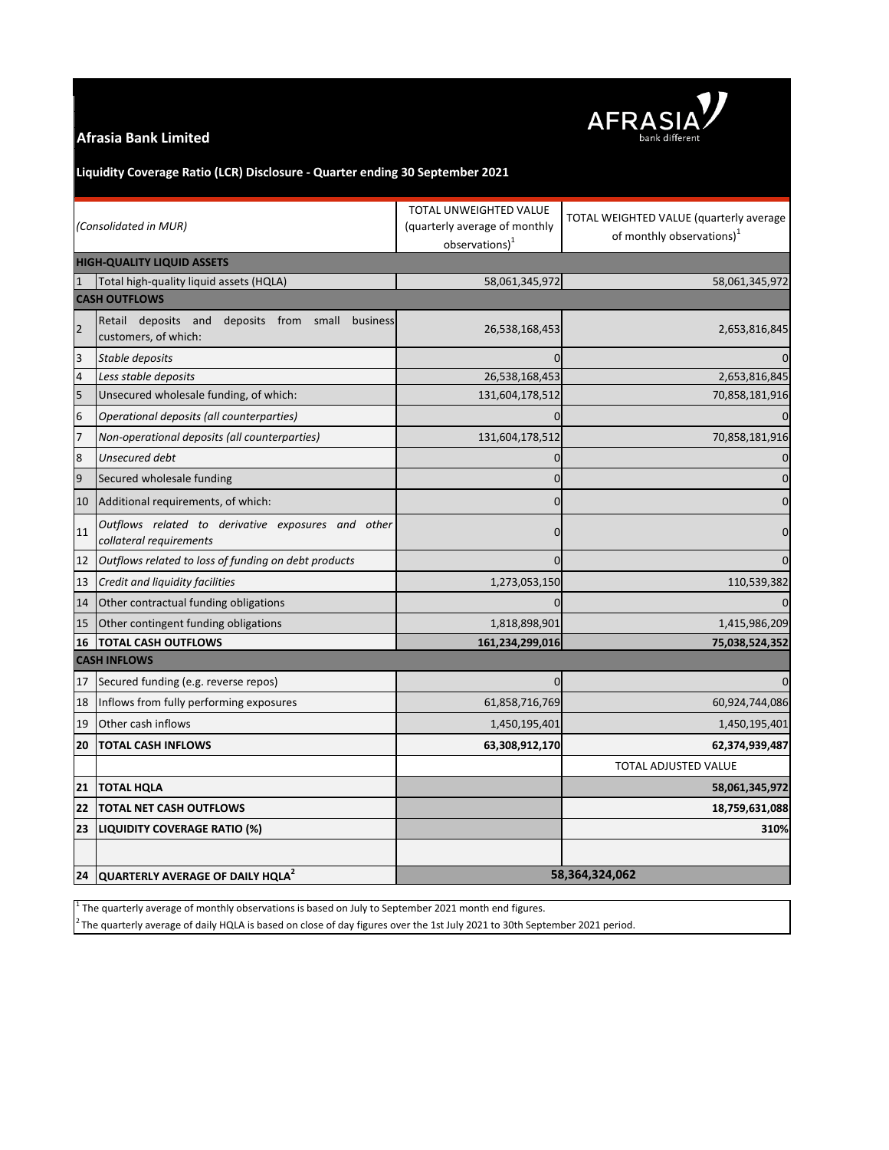## **Afrasia Bank Limited**



# **Liquidity Coverage Ratio (LCR) Disclosure - Quarter ending 30 September 2021**

| (Consolidated in MUR)             |                                                                                | TOTAL UNWEIGHTED VALUE<br>(quarterly average of monthly<br>observations) <sup>1</sup> | TOTAL WEIGHTED VALUE (quarterly average<br>of monthly observations) <sup>1</sup> |
|-----------------------------------|--------------------------------------------------------------------------------|---------------------------------------------------------------------------------------|----------------------------------------------------------------------------------|
| <b>HIGH-QUALITY LIQUID ASSETS</b> |                                                                                |                                                                                       |                                                                                  |
|                                   | Total high-quality liquid assets (HQLA)                                        | 58,061,345,972                                                                        | 58,061,345,972                                                                   |
| <b>CASH OUTFLOWS</b>              |                                                                                |                                                                                       |                                                                                  |
| $\overline{2}$                    | Retail deposits and<br>deposits from small<br>business<br>customers, of which: | 26,538,168,453                                                                        | 2,653,816,845                                                                    |
| 3                                 | Stable deposits                                                                | 0                                                                                     | $\Omega$                                                                         |
| $\overline{4}$                    | Less stable deposits                                                           | 26,538,168,453                                                                        | 2,653,816,845                                                                    |
| 5                                 | Unsecured wholesale funding, of which:                                         | 131,604,178,512                                                                       | 70,858,181,916                                                                   |
| $6\phantom{1}6$                   | Operational deposits (all counterparties)                                      | 0                                                                                     | $\mathbf{0}$                                                                     |
| $\overline{7}$                    | Non-operational deposits (all counterparties)                                  | 131,604,178,512                                                                       | 70,858,181,916                                                                   |
| 8                                 | Unsecured debt                                                                 | 0                                                                                     | $\mathbf 0$                                                                      |
| 9                                 | Secured wholesale funding                                                      | $\mathbf 0$                                                                           | $\pmb{0}$                                                                        |
| 10                                | Additional requirements, of which:                                             | $\mathbf 0$                                                                           | $\mathbf 0$                                                                      |
| 11                                | Outflows related to derivative exposures and other<br>collateral requirements  | $\Omega$                                                                              | $\mathbf 0$                                                                      |
| 12                                | Outflows related to loss of funding on debt products                           | $\Omega$                                                                              | $\overline{0}$                                                                   |
| 13                                | Credit and liquidity facilities                                                | 1,273,053,150                                                                         | 110,539,382                                                                      |
| 14                                | Other contractual funding obligations                                          | $\Omega$                                                                              | $\mathbf{0}$                                                                     |
| 15                                | Other contingent funding obligations                                           | 1,818,898,901                                                                         | 1,415,986,209                                                                    |
| 16                                | <b>TOTAL CASH OUTFLOWS</b>                                                     | 161,234,299,016                                                                       | 75,038,524,352                                                                   |
| <b>CASH INFLOWS</b>               |                                                                                |                                                                                       |                                                                                  |
| 17                                | Secured funding (e.g. reverse repos)                                           | $\mathbf 0$                                                                           | $\overline{0}$                                                                   |
| 18                                | Inflows from fully performing exposures                                        | 61,858,716,769                                                                        | 60,924,744,086                                                                   |
| 19                                | Other cash inflows                                                             | 1,450,195,401                                                                         | 1,450,195,401                                                                    |
| 20                                | <b>TOTAL CASH INFLOWS</b>                                                      | 63,308,912,170                                                                        | 62,374,939,487                                                                   |
|                                   |                                                                                |                                                                                       | <b>TOTAL ADJUSTED VALUE</b>                                                      |
| 21                                | <b>TOTAL HQLA</b>                                                              |                                                                                       | 58,061,345,972                                                                   |
| 22                                | <b>TOTAL NET CASH OUTFLOWS</b>                                                 |                                                                                       | 18,759,631,088                                                                   |
| 23                                | LIQUIDITY COVERAGE RATIO (%)                                                   |                                                                                       | 310%                                                                             |
|                                   |                                                                                |                                                                                       |                                                                                  |
|                                   | 24 QUARTERLY AVERAGE OF DAILY HQLA <sup>2</sup>                                | 58,364,324,062                                                                        |                                                                                  |

 $<sup>1</sup>$  The quarterly average of monthly observations is based on July to September 2021 month end figures.</sup>

 $^2$ The quarterly average of daily HQLA is based on close of day figures over the 1st July 2021 to 30th September 2021 period.